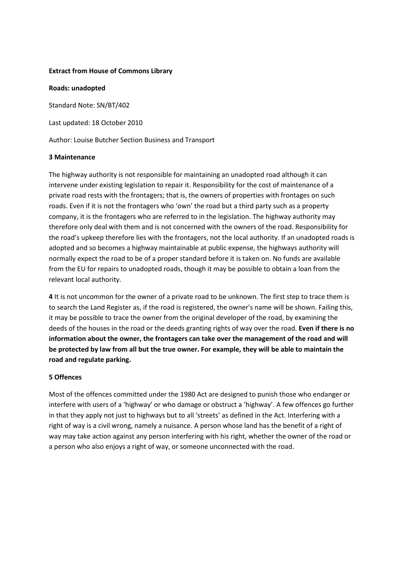## **Extract from House of Commons Library**

**Roads: unadopted** 

Standard Note: SN/BT/402

Last updated: 18 October 2010

Author: Louise Butcher Section Business and Transport

## **3 Maintenance**

The highway authority is not responsible for maintaining an unadopted road although it can intervene under existing legislation to repair it. Responsibility for the cost of maintenance of a private road rests with the frontagers; that is, the owners of properties with frontages on such roads. Even if it is not the frontagers who 'own' the road but a third party such as a property company, it is the frontagers who are referred to in the legislation. The highway authority may therefore only deal with them and is not concerned with the owners of the road. Responsibility for the road's upkeep therefore lies with the frontagers, not the local authority. If an unadopted roads is adopted and so becomes a highway maintainable at public expense, the highways authority will normally expect the road to be of a proper standard before it is taken on. No funds are available from the EU for repairs to unadopted roads, though it may be possible to obtain a loan from the relevant local authority.

**4** It is not uncommon for the owner of a private road to be unknown. The first step to trace them is to search the Land Register as, if the road is registered, the owner's name will be shown. Failing this, it may be possible to trace the owner from the original developer of the road, by examining the deeds of the houses in the road or the deeds granting rights of way over the road. **Even if there is no information about the owner, the frontagers can take over the management of the road and will be protected by law from all but the true owner. For example, they will be able to maintain the road and regulate parking.**

## **5 Offences**

Most of the offences committed under the 1980 Act are designed to punish those who endanger or interfere with users of a 'highway' or who damage or obstruct a 'highway'. A few offences go further in that they apply not just to highways but to all 'streets' as defined in the Act. Interfering with a right of way is a civil wrong, namely a nuisance. A person whose land has the benefit of a right of way may take action against any person interfering with his right, whether the owner of the road or a person who also enjoys a right of way, or someone unconnected with the road.